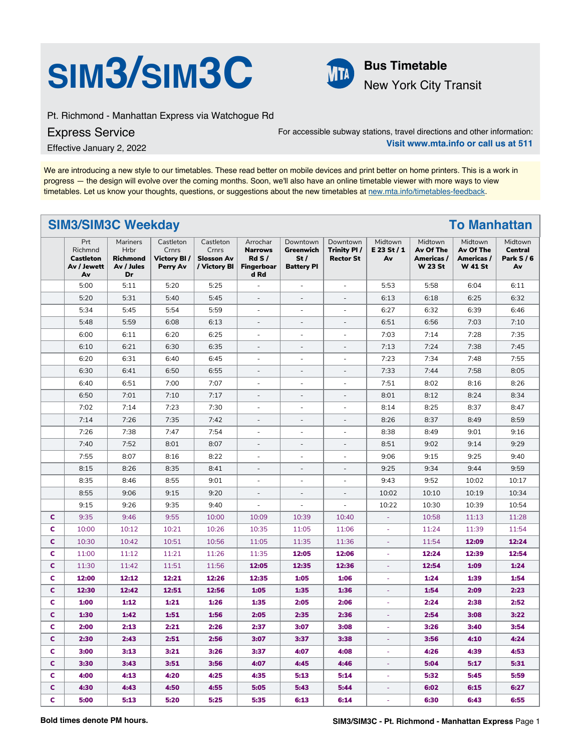



New York City Transit

Pt. Richmond - Manhattan Express via Watchogue Rd

Express Service

For accessible subway stations, travel directions and other information: **Visit www.mta.info or call us at 511**

Effective January 2, 2022

We are introducing a new style to our timetables. These read better on mobile devices and print better on home printers. This is a work in progress — the design will evolve over the coming months. Soon, we'll also have an online timetable viewer with more ways to view timetables. Let us know your thoughts, questions, or suggestions about the new timetables at [new.mta.info/timetables-feedback](https://new.mta.info/timetables-feedback).

## **SIM3/SIM3C Weekday To Manhattan**

|   | Prt<br>Richmnd<br>Castleton<br>Av / Jewett<br>Av | Mariners<br>Hrbr<br><b>Richmond</b><br>Av / Jules<br>Dr | Castleton<br>Crnrs<br>Victory BI/<br>Perry Av | Castleton<br>Crnrs<br><b>Slosson Av</b><br>/ Victory BI | Arrochar<br><b>Narrows</b><br>RdS/<br><b>Fingerboar</b><br>d Rd | Downtown<br>Greenwich<br>St/<br><b>Battery PI</b> | Downtown<br>Trinity PI/<br><b>Rector St</b> | Midtown<br>E 23 St / 1<br>Av | Midtown<br>Av Of The<br>Americas /<br><b>W 23 St</b> | Midtown<br>Av Of The<br>Americas /<br><b>W 41 St</b> | Midtown<br><b>Central</b><br>Park $S/6$<br>Av |
|---|--------------------------------------------------|---------------------------------------------------------|-----------------------------------------------|---------------------------------------------------------|-----------------------------------------------------------------|---------------------------------------------------|---------------------------------------------|------------------------------|------------------------------------------------------|------------------------------------------------------|-----------------------------------------------|
|   | 5:00                                             | 5:11                                                    | 5:20                                          | 5:25                                                    | $\overline{\phantom{a}}$                                        | $\overline{\phantom{a}}$                          | ÷,                                          | 5:53                         | 5:58                                                 | 6:04                                                 | 6:11                                          |
|   | 5:20                                             | 5:31                                                    | 5:40                                          | 5:45                                                    | ÷,                                                              | $\overline{\phantom{a}}$                          |                                             | 6:13                         | 6:18                                                 | 6:25                                                 | 6:32                                          |
|   | 5:34                                             | 5:45                                                    | 5:54                                          | 5:59                                                    | $\overline{\phantom{a}}$                                        | $\overline{\phantom{a}}$                          | ÷,                                          | 6:27                         | 6:32                                                 | 6:39                                                 | 6:46                                          |
|   | 5:48                                             | 5:59                                                    | 6:08                                          | 6:13                                                    | $\overline{\phantom{a}}$                                        | $\overline{\phantom{a}}$                          | $\overline{\phantom{a}}$                    | 6:51                         | 6:56                                                 | 7:03                                                 | 7:10                                          |
|   | 6:00                                             | 6:11                                                    | 6:20                                          | 6:25                                                    | $\overline{\phantom{a}}$                                        | $\bar{\phantom{a}}$                               | ÷,                                          | 7:03                         | 7:14                                                 | 7:28                                                 | 7:35                                          |
|   | 6:10                                             | 6:21                                                    | 6:30                                          | 6:35                                                    | $\overline{\phantom{a}}$                                        | $\overline{\phantom{a}}$                          | $\overline{\phantom{a}}$                    | 7:13                         | 7:24                                                 | 7:38                                                 | 7:45                                          |
|   | 6:20                                             | 6:31                                                    | 6:40                                          | 6:45                                                    | $\overline{\phantom{a}}$                                        | $\overline{\phantom{a}}$                          | ÷                                           | 7:23                         | 7:34                                                 | 7:48                                                 | 7:55                                          |
|   | 6:30                                             | 6:41                                                    | 6:50                                          | 6:55                                                    | $\overline{\phantom{a}}$                                        | $\overline{\phantom{a}}$                          | ÷,                                          | 7:33                         | 7:44                                                 | 7:58                                                 | 8:05                                          |
|   | 6:40                                             | 6:51                                                    | 7:00                                          | 7:07                                                    | $\overline{\phantom{a}}$                                        | $\overline{\phantom{a}}$                          | ÷,                                          | 7:51                         | 8:02                                                 | 8:16                                                 | 8:26                                          |
|   | 6:50                                             | 7:01                                                    | 7:10                                          | 7:17                                                    | $\overline{a}$                                                  | $\overline{\phantom{a}}$                          | ÷,                                          | 8:01                         | 8:12                                                 | 8:24                                                 | 8:34                                          |
|   | 7:02                                             | 7:14                                                    | 7:23                                          | 7:30                                                    | $\overline{\phantom{a}}$                                        | $\sim$                                            | ä,                                          | 8:14                         | 8:25                                                 | 8:37                                                 | 8:47                                          |
|   | 7:14                                             | 7:26                                                    | 7:35                                          | 7:42                                                    | $\overline{a}$                                                  | $\overline{\phantom{a}}$                          | L,                                          | 8:26                         | 8:37                                                 | 8:49                                                 | 8:59                                          |
|   | 7:26                                             | 7:38                                                    | 7:47                                          | 7:54                                                    | ÷,                                                              |                                                   |                                             | 8:38                         | 8:49                                                 | 9:01                                                 | 9:16                                          |
|   | 7:40                                             | 7:52                                                    | 8:01                                          | 8:07                                                    | $\overline{\phantom{a}}$                                        | $\overline{\phantom{a}}$                          | ÷,                                          | 8:51                         | 9:02                                                 | 9:14                                                 | 9:29                                          |
|   | 7:55                                             | 8:07                                                    | 8:16                                          | 8:22                                                    | ÷,                                                              | $\overline{a}$                                    | L.                                          | 9:06                         | 9:15                                                 | 9:25                                                 | 9:40                                          |
|   | 8:15                                             | 8:26                                                    | 8:35                                          | 8:41                                                    | $\overline{\phantom{a}}$                                        | $\overline{\phantom{a}}$                          | $\overline{a}$                              | 9:25                         | 9:34                                                 | 9:44                                                 | 9:59                                          |
|   | 8:35                                             | 8:46                                                    | 8:55                                          | 9:01                                                    | $\overline{\phantom{a}}$                                        | $\overline{\phantom{a}}$                          | ÷,                                          | 9:43                         | 9:52                                                 | 10:02                                                | 10:17                                         |
|   | 8:55                                             | 9:06                                                    | 9:15                                          | 9:20                                                    | $\overline{\phantom{a}}$                                        | $\overline{\phantom{a}}$                          | ÷,                                          | 10:02                        | 10:10                                                | 10:19                                                | 10:34                                         |
|   | 9:15                                             | 9:26                                                    | 9:35                                          | 9:40                                                    | $\overline{\phantom{a}}$                                        | $\overline{\phantom{a}}$                          | ÷,                                          | 10:22                        | 10:30                                                | 10:39                                                | 10:54                                         |
| c | 9:35                                             | 9:46                                                    | 9:55                                          | 10:00                                                   | 10:09                                                           | 10:39                                             | 10:40                                       |                              | 10:58                                                | 11:13                                                | 11:28                                         |
| c | 10:00                                            | 10:12                                                   | 10:21                                         | 10:26                                                   | 10:35                                                           | 11:05                                             | 11:06                                       | ÷                            | 11:24                                                | 11:39                                                | 11:54                                         |
| C | 10:30                                            | 10:42                                                   | 10:51                                         | 10:56                                                   | 11:05                                                           | 11:35                                             | 11:36                                       | ä,                           | 11:54                                                | 12:09                                                | 12:24                                         |
| C | 11:00                                            | 11:12                                                   | 11:21                                         | 11:26                                                   | 11:35                                                           | 12:05                                             | 12:06                                       | ä,                           | 12:24                                                | 12:39                                                | 12:54                                         |
| C | 11:30                                            | 11:42                                                   | 11:51                                         | 11:56                                                   | 12:05                                                           | 12:35                                             | 12:36                                       | ä,                           | 12:54                                                | 1:09                                                 | 1:24                                          |
| c | 12:00                                            | 12:12                                                   | 12:21                                         | 12:26                                                   | 12:35                                                           | 1:05                                              | 1:06                                        |                              | 1:24                                                 | 1:39                                                 | 1:54                                          |
| C | 12:30                                            | 12:42                                                   | 12:51                                         | 12:56                                                   | 1:05                                                            | 1:35                                              | 1:36                                        |                              | 1:54                                                 | 2:09                                                 | 2:23                                          |
| c | 1:00                                             | 1:12                                                    | 1:21                                          | 1:26                                                    | 1:35                                                            | 2:05                                              | 2:06                                        |                              | 2:24                                                 | 2:38                                                 | 2:52                                          |
| c | 1:30                                             | 1:42                                                    | 1:51                                          | 1:56                                                    | 2:05                                                            | 2:35                                              | 2:36                                        | ÷.                           | 2:54                                                 | 3:08                                                 | 3:22                                          |
| c | 2:00                                             | 2:13                                                    | 2:21                                          | 2:26                                                    | 2:37                                                            | 3:07                                              | 3:08                                        | ä,                           | 3:26                                                 | 3:40                                                 | 3:54                                          |
| C | 2:30                                             | 2:43                                                    | 2:51                                          | 2:56                                                    | 3:07                                                            | 3:37                                              | 3:38                                        | ÷.                           | 3:56                                                 | 4:10                                                 | 4:24                                          |
| c | 3:00                                             | 3:13                                                    | 3:21                                          | 3:26                                                    | 3:37                                                            | 4:07                                              | 4:08                                        | $\equiv$                     | 4:26                                                 | 4:39                                                 | 4:53                                          |
| c | 3:30                                             | 3:43                                                    | 3:51                                          | 3:56                                                    | 4:07                                                            | 4:45                                              | 4:46                                        | ä,                           | 5:04                                                 | 5:17                                                 | 5:31                                          |
| c | 4:00                                             | 4:13                                                    | 4:20                                          | 4:25                                                    | 4:35                                                            | 5:13                                              | 5:14                                        | ÷.                           | 5:32                                                 | 5:45                                                 | 5:59                                          |
| C | 4:30                                             | 4:43                                                    | 4:50                                          | 4:55                                                    | 5:05                                                            | 5:43                                              | 5:44                                        | ÷                            | 6:02                                                 | 6:15                                                 | 6:27                                          |
| c | 5:00                                             | 5:13                                                    | 5:20                                          | 5:25                                                    | 5:35                                                            | 6:13                                              | 6:14                                        | ä,                           | 6:30                                                 | 6:43                                                 | 6:55                                          |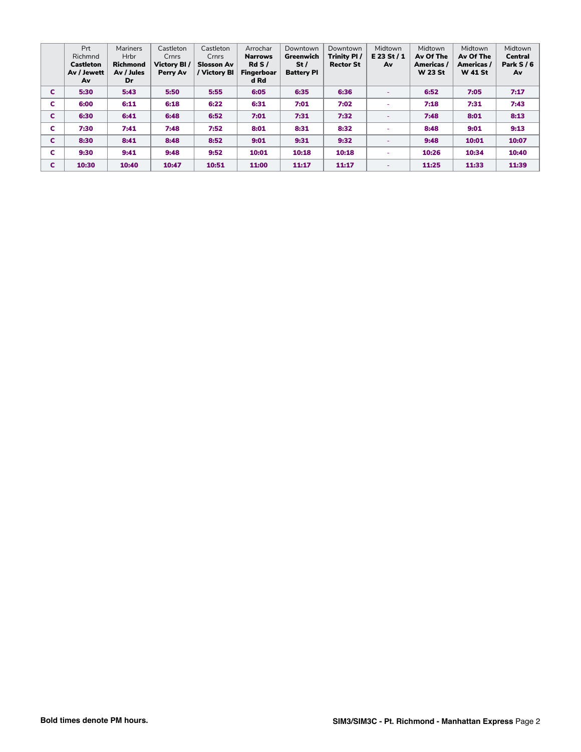|   | Prt              | <b>Mariners</b> | Castleton   | Castleton         | Arrochar       | Downtown          | Downtown         | Midtown                  | Midtown        | Midtown        | Midtown        |
|---|------------------|-----------------|-------------|-------------------|----------------|-------------------|------------------|--------------------------|----------------|----------------|----------------|
|   | Richmnd          | <b>Hrbr</b>     | Crnrs       | Crnrs             | <b>Narrows</b> | Greenwich         | Trinity PI/      | E 23 St / 1              | Av Of The      | Av Of The      | <b>Central</b> |
|   | <b>Castleton</b> | <b>Richmond</b> | Victory BI/ | <b>Slosson Av</b> | RdS/           | St/               | <b>Rector St</b> | Av                       | Americas /     | Americas /     | Park $S/6$     |
|   | Av / Jewett      | Av / Jules      | Perry Av    | / Victory Bl      | Fingerboar     | <b>Battery PI</b> |                  |                          | <b>W 23 St</b> | <b>W</b> 41 St | Av             |
|   | Av               | Dr              |             |                   | d Rd           |                   |                  |                          |                |                |                |
| C | 5:30             | 5:43            | 5:50        | 5:55              | 6:05           | 6:35              | 6:36             | $\overline{\phantom{a}}$ | 6:52           | 7:05           | 7:17           |
| c | 6:00             | 6:11            | 6:18        | 6:22              | 6:31           | 7:01              | 7:02             | -                        | 7:18           | 7:31           | 7:43           |
| C | 6:30             | 6:41            | 6:48        | 6:52              | 7:01           | 7:31              | 7:32             | ٠                        | 7:48           | 8:01           | 8:13           |
| c | 7:30             | 7:41            | 7:48        | 7:52              | 8:01           | 8:31              | 8:32             |                          | 8:48           | 9:01           | 9:13           |
| C | 8:30             | 8:41            | 8:48        | 8:52              | 9:01           | 9:31              | 9:32             | ٠                        | 9:48           | 10:01          | 10:07          |
| c | 9:30             | 9:41            | 9:48        | 9:52              | 10:01          | 10:18             | 10:18            |                          | 10:26          | 10:34          | 10:40          |
| C | 10:30            | 10:40           | 10:47       | 10:51             | 11:00          | 11:17             | 11:17            | $\overline{\phantom{a}}$ | 11:25          | 11:33          | 11:39          |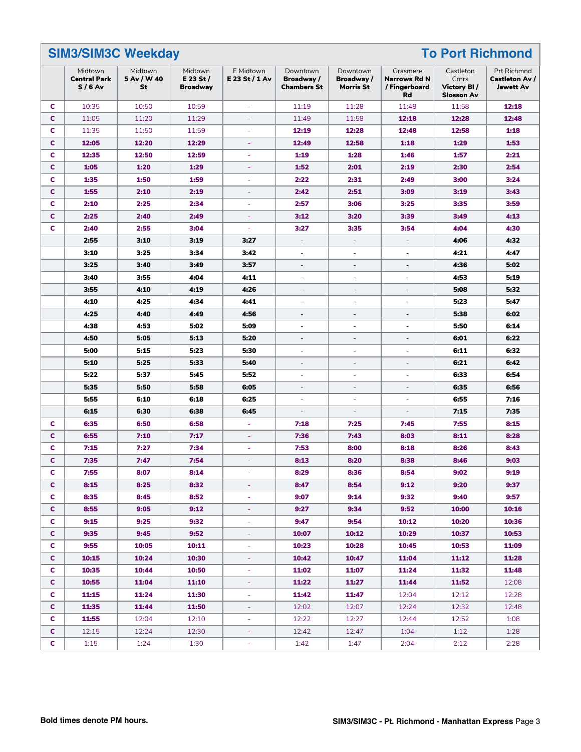|              | <b>SIM3/SIM3C Weekday</b>                  |                              |                                           |                             | <b>To Port Richmond</b>                      |                                            |                                                        |                                                         |                                                   |  |
|--------------|--------------------------------------------|------------------------------|-------------------------------------------|-----------------------------|----------------------------------------------|--------------------------------------------|--------------------------------------------------------|---------------------------------------------------------|---------------------------------------------------|--|
|              | Midtown<br><b>Central Park</b><br>$S/6$ Av | Midtown<br>5 Av / W 40<br>St | Midtown<br>E 23 St $/$<br><b>Broadway</b> | E Midtown<br>E 23 St / 1 Av | Downtown<br>Broadway /<br><b>Chambers St</b> | Downtown<br>Broadway /<br><b>Morris St</b> | Grasmere<br><b>Narrows Rd N</b><br>/ Fingerboard<br>Rd | Castleton<br>Crnrs<br>Victory BI /<br><b>Slosson Av</b> | Prt Richmnd<br><b>Castleton Av /</b><br>Jewett Av |  |
| c            | 10:35                                      | 10:50                        | 10:59                                     | ä,                          | 11:19                                        | 11:28                                      | 11:48                                                  | 11:58                                                   | 12:18                                             |  |
| C            | 11:05                                      | 11:20                        | 11:29                                     | ä,                          | 11:49                                        | 11:58                                      | 12:18                                                  | 12:28                                                   | 12:48                                             |  |
| c            | 11:35                                      | 11:50                        | 11:59                                     | J.                          | 12:19                                        | 12:28                                      | 12:48                                                  | 12:58                                                   | 1:18                                              |  |
| c            | 12:05                                      | 12:20                        | 12:29                                     | ä,                          | 12:49                                        | 12:58                                      | 1:18                                                   | 1:29                                                    | 1:53                                              |  |
| c            | 12:35                                      | 12:50                        | 12:59                                     | ÷,                          | 1:19                                         | 1:28                                       | 1:46                                                   | 1:57                                                    | 2:21                                              |  |
| c            | 1:05                                       | 1:20                         | 1:29                                      | $\sim$                      | 1:52                                         | 2:01                                       | 2:19                                                   | 2:30                                                    | 2:54                                              |  |
| c            | 1:35                                       | 1:50                         | 1:59                                      | ÷.                          | 2:22                                         | 2:31                                       | 2:49                                                   | 3:00                                                    | 3:24                                              |  |
| c            | 1:55                                       | 2:10                         | 2:19                                      | ٠                           | 2:42                                         | 2:51                                       | 3:09                                                   | 3:19                                                    | 3:43                                              |  |
| C            | 2:10                                       | 2:25                         | 2:34                                      | ÷.                          | 2:57                                         | 3:06                                       | 3:25                                                   | 3:35                                                    | 3:59                                              |  |
| c            | 2:25                                       | 2:40                         | 2:49                                      | ä,                          | 3:12                                         | 3:20                                       | 3:39                                                   | 3:49                                                    | 4:13                                              |  |
| c            | 2:40                                       | 2:55                         | 3:04                                      | ÷,                          | 3:27                                         | 3:35                                       | 3:54                                                   | 4:04                                                    | 4:30                                              |  |
|              | 2:55                                       | 3:10                         | 3:19                                      | 3:27                        | $\overline{\phantom{a}}$                     | $\overline{\phantom{a}}$                   | $\overline{\phantom{a}}$                               | 4:06                                                    | 4:32                                              |  |
|              | 3:10                                       | 3:25                         | 3:34                                      | 3:42                        | $\overline{\phantom{a}}$                     | $\overline{\phantom{a}}$                   | $\overline{a}$                                         | 4:21                                                    | 4:47                                              |  |
|              | 3:25                                       | 3:40                         | 3:49                                      | 3:57                        | $\overline{\phantom{a}}$                     | $\overline{\phantom{a}}$                   | $\overline{\phantom{a}}$                               | 4:36                                                    | 5:02                                              |  |
|              | 3:40                                       | 3:55                         | 4:04                                      | 4:11                        | $\overline{\phantom{a}}$                     | $\sim$                                     | $\overline{\phantom{a}}$                               | 4:53                                                    | 5:19                                              |  |
|              | 3:55                                       | 4:10                         | 4:19                                      | 4:26                        | $\overline{\phantom{a}}$                     | $\overline{a}$                             | L.                                                     | 5:08                                                    | 5:32                                              |  |
|              | 4:10                                       | 4:25                         | 4:34                                      | 4:41                        | ä,                                           | ÷,                                         | ä,                                                     | 5:23                                                    | 5:47                                              |  |
|              | 4:25                                       | 4:40                         | 4:49                                      | 4:56                        | $\overline{a}$                               | $\overline{\phantom{a}}$                   | $\overline{\phantom{m}}$                               | 5:38                                                    | 6:02                                              |  |
|              | 4:38                                       | 4:53                         | 5:02                                      | 5:09                        | $\overline{\phantom{a}}$                     | $\overline{\phantom{a}}$                   | $\overline{\phantom{a}}$                               | 5:50                                                    | 6:14                                              |  |
|              | 4:50                                       | 5:05                         | 5:13                                      | 5:20                        | $\overline{\phantom{a}}$                     | $\sim$                                     | $\overline{a}$                                         | 6:01                                                    | 6:22                                              |  |
|              | 5:00                                       | 5:15                         | 5:23                                      | 5:30                        | $\overline{\phantom{0}}$                     | $\overline{\phantom{a}}$                   | $\overline{\phantom{a}}$                               | 6:11                                                    | 6:32                                              |  |
|              | 5:10                                       | 5:25                         | 5:33                                      | 5:40                        | $\overline{\phantom{a}}$                     | $\overline{\phantom{a}}$                   | $\overline{\phantom{a}}$                               | 6:21                                                    | 6:42                                              |  |
|              | 5:22                                       | 5:37                         | 5:45                                      | 5:52                        | ÷.                                           | ÷.                                         | ä,                                                     | 6:33                                                    | 6:54                                              |  |
|              | 5:35                                       | 5:50                         | 5:58                                      | 6:05                        | ÷,                                           | $\sim$                                     | $\overline{a}$                                         | 6:35                                                    | 6:56                                              |  |
|              | 5:55                                       | 6:10                         | 6:18                                      | 6:25                        | ÷                                            | ÷,                                         | $\overline{\phantom{a}}$                               | 6:55                                                    | 7:16                                              |  |
|              | 6:15                                       | 6:30                         | 6:38                                      | 6:45                        | $\overline{\phantom{a}}$                     | $\overline{\phantom{a}}$                   | $\overline{\phantom{a}}$                               | 7:15                                                    | 7:35                                              |  |
| c            | 6:35                                       | 6:50                         | 6:58                                      | ä,                          | 7:18                                         | 7:25                                       | 7:45                                                   | 7:55                                                    | 8:15                                              |  |
| c            | 6:55                                       | 7:10                         | 7:17                                      | ÷,                          | 7:36                                         | 7:43                                       | 8:03                                                   | 8:11                                                    | 8:28                                              |  |
| c            | 7:15                                       | 7:27                         | 7:34                                      | $\overline{\phantom{a}}$    | 7:53                                         | 8:00                                       | 8:18                                                   | 8:26                                                    | 8:43                                              |  |
| C            | 7:35                                       | 7:47                         | 7:54                                      | ä,                          | 8:13                                         | 8:20                                       | 8:38                                                   | 8:46                                                    | 9:03                                              |  |
| c            | 7:55                                       | 8:07                         | 8:14                                      |                             | 8:29                                         | 8:36                                       | 8:54                                                   | 9:02                                                    | 9:19                                              |  |
| c.           | 8:15                                       | 8:25                         | 8:32                                      |                             | 8:47                                         | 8:54                                       | 9:12                                                   | 9:20                                                    | 9:37                                              |  |
| C            | 8:35                                       | 8:45                         | 8:52                                      | ÷                           | 9:07                                         | 9:14                                       | 9:32                                                   | 9:40                                                    | 9:57                                              |  |
| C.           | 8:55                                       | 9:05                         | 9:12                                      | $\blacksquare$              | 9:27                                         | 9:34                                       | 9:52                                                   | 10:00                                                   | 10:16                                             |  |
| C.           | 9:15                                       | 9:25                         | 9:32                                      | $\overline{\phantom{a}}$    | 9:47                                         | 9:54                                       | 10:12                                                  | 10:20                                                   | 10:36                                             |  |
| C.           | 9:35                                       | 9:45                         | 9:52                                      | ÷                           | 10:07                                        | 10:12                                      | 10:29                                                  | 10:37                                                   | 10:53                                             |  |
| C.           | 9:55                                       | 10:05                        | 10:11                                     | ÷,                          | 10:23                                        | 10:28                                      | 10:45                                                  | 10:53                                                   | 11:09                                             |  |
| C.           | 10:15                                      | 10:24                        | 10:30                                     | ä,                          | 10:42                                        | 10:47                                      | 11:04                                                  | 11:12                                                   | 11:28                                             |  |
| c.           | 10:35                                      | 10:44                        | 10:50                                     | ÷                           | 11:02                                        | 11:07                                      | 11:24                                                  | 11:32                                                   | 11:48                                             |  |
| C.           | 10:55                                      | 11:04                        | 11:10                                     | ÷                           | 11:22                                        | 11:27                                      | 11:44                                                  | 11:52                                                   | 12:08                                             |  |
| C            | 11:15                                      | 11:24                        | 11:30                                     | ÷,                          | 11:42                                        | 11:47                                      | 12:04                                                  | 12:12                                                   | 12:28                                             |  |
| C.           | 11:35                                      | 11:44                        | 11:50                                     | ä,                          | 12:02                                        | 12:07                                      | 12:24                                                  | 12:32                                                   | 12:48                                             |  |
| C            | 11:55                                      | 12:04                        | 12:10                                     | $\overline{\phantom{a}}$    | 12:22                                        | 12:27                                      | 12:44                                                  | 12:52                                                   | 1:08                                              |  |
| $\mathsf{C}$ | 12:15                                      | 12:24                        | 12:30                                     | ÷                           | 12:42                                        | 12:47                                      | 1:04                                                   | 1:12                                                    | 1:28                                              |  |
| C.           | 1:15                                       | 1:24                         | 1:30                                      | ÷                           | 1:42                                         | 1:47                                       | 2:04                                                   | 2:12                                                    | 2:28                                              |  |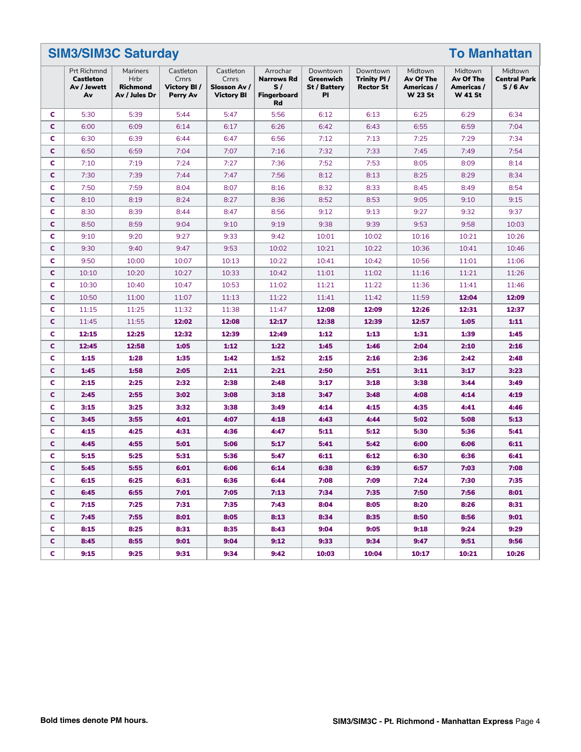|    | <b>SIM3/SIM3C Saturday</b>                           |                                                             |                                               | <b>To Manhattan</b>                                     |                                                                 |                                                    |                                             |                                                      |                                                      |                                            |
|----|------------------------------------------------------|-------------------------------------------------------------|-----------------------------------------------|---------------------------------------------------------|-----------------------------------------------------------------|----------------------------------------------------|---------------------------------------------|------------------------------------------------------|------------------------------------------------------|--------------------------------------------|
|    | Prt Richmnd<br><b>Castleton</b><br>Av / Jewett<br>Av | Mariners<br><b>Hrbr</b><br><b>Richmond</b><br>Av / Jules Dr | Castleton<br>Crnrs<br>Victory BI/<br>Perry Av | Castleton<br>Crnrs<br>Slosson Av /<br><b>Victory BI</b> | Arrochar<br><b>Narrows Rd</b><br>S/<br><b>Fingerboard</b><br>Rd | Downtown<br>Greenwich<br><b>St / Battery</b><br>PI | Downtown<br>Trinity PI/<br><b>Rector St</b> | Midtown<br>Av Of The<br>Americas /<br><b>W 23 St</b> | Midtown<br>Av Of The<br>Americas /<br><b>W 41 St</b> | Midtown<br><b>Central Park</b><br>$S/6$ Av |
| c  | 5:30                                                 | 5:39                                                        | 5:44                                          | 5:47                                                    | 5:56                                                            | 6:12                                               | 6:13                                        | 6:25                                                 | 6:29                                                 | 6:34                                       |
| c  | 6:00                                                 | 6:09                                                        | 6:14                                          | 6:17                                                    | 6:26                                                            | 6:42                                               | 6:43                                        | 6:55                                                 | 6:59                                                 | 7:04                                       |
| c  | 6:30                                                 | 6:39                                                        | 6:44                                          | 6:47                                                    | 6:56                                                            | 7:12                                               | 7:13                                        | 7:25                                                 | 7:29                                                 | 7:34                                       |
| c  | 6:50                                                 | 6:59                                                        | 7:04                                          | 7:07                                                    | 7:16                                                            | 7:32                                               | 7:33                                        | 7:45                                                 | 7:49                                                 | 7:54                                       |
| c  | 7:10                                                 | 7:19                                                        | 7:24                                          | 7:27                                                    | 7:36                                                            | 7:52                                               | 7:53                                        | 8:05                                                 | 8:09                                                 | 8:14                                       |
| c  | 7:30                                                 | 7:39                                                        | 7:44                                          | 7:47                                                    | 7:56                                                            | 8:12                                               | 8:13                                        | 8:25                                                 | 8:29                                                 | 8:34                                       |
| c  | 7:50                                                 | 7:59                                                        | 8:04                                          | 8:07                                                    | 8:16                                                            | 8:32                                               | 8:33                                        | 8:45                                                 | 8:49                                                 | 8:54                                       |
| c  | 8:10                                                 | 8:19                                                        | 8:24                                          | 8:27                                                    | 8:36                                                            | 8:52                                               | 8:53                                        | 9:05                                                 | 9:10                                                 | 9:15                                       |
| c  | 8:30                                                 | 8:39                                                        | 8:44                                          | 8:47                                                    | 8:56                                                            | 9:12                                               | 9:13                                        | 9:27                                                 | 9:32                                                 | 9:37                                       |
| C  | 8:50                                                 | 8:59                                                        | 9:04                                          | 9:10                                                    | 9:19                                                            | 9:38                                               | 9:39                                        | 9:53                                                 | 9:58                                                 | 10:03                                      |
| c  | 9:10                                                 | 9:20                                                        | 9:27                                          | 9:33                                                    | 9:42                                                            | 10:01                                              | 10:02                                       | 10:16                                                | 10:21                                                | 10:26                                      |
| c  | 9:30                                                 | 9:40                                                        | 9:47                                          | 9:53                                                    | 10:02                                                           | 10:21                                              | 10:22                                       | 10:36                                                | 10:41                                                | 10:46                                      |
| c  | 9:50                                                 | 10:00                                                       | 10:07                                         | 10:13                                                   | 10:22                                                           | 10:41                                              | 10:42                                       | 10:56                                                | 11:01                                                | 11:06                                      |
| c  | 10:10                                                | 10:20                                                       | 10:27                                         | 10:33                                                   | 10:42                                                           | 11:01                                              | 11:02                                       | 11:16                                                | 11:21                                                | 11:26                                      |
| c  | 10:30                                                | 10:40                                                       | 10:47                                         | 10:53                                                   | 11:02                                                           | 11:21                                              | 11:22                                       | 11:36                                                | 11:41                                                | 11:46                                      |
| c  | 10:50                                                | 11:00                                                       | 11:07                                         | 11:13                                                   | 11:22                                                           | 11:41                                              | 11:42                                       | 11:59                                                | 12:04                                                | 12:09                                      |
| c  | 11:15                                                | 11:25                                                       | 11:32                                         | 11:38                                                   | 11:47                                                           | 12:08                                              | 12:09                                       | 12:26                                                | 12:31                                                | 12:37                                      |
| c  | 11:45                                                | 11:55                                                       | 12:02                                         | 12:08                                                   | 12:17                                                           | 12:38                                              | 12:39                                       | 12:57                                                | 1:05                                                 | 1:11                                       |
| c  | 12:15                                                | 12:25                                                       | 12:32                                         | 12:39                                                   | 12:49                                                           | 1:12                                               | 1:13                                        | 1:31                                                 | 1:39                                                 | 1:45                                       |
| C  | 12:45                                                | 12:58                                                       | 1:05                                          | 1:12                                                    | 1:22                                                            | 1:45                                               | 1:46                                        | 2:04                                                 | 2:10                                                 | 2:16                                       |
| c  | 1:15                                                 | 1:28                                                        | 1:35                                          | 1:42                                                    | 1:52                                                            | 2:15                                               | 2:16                                        | 2:36                                                 | 2:42                                                 | 2:48                                       |
| c  | 1:45                                                 | 1:58                                                        | 2:05                                          | 2:11                                                    | 2:21                                                            | 2:50                                               | 2:51                                        | 3:11                                                 | 3:17                                                 | 3:23                                       |
| c  | 2:15                                                 | 2:25                                                        | 2:32                                          | 2:38                                                    | 2:48                                                            | 3:17                                               | 3:18                                        | 3:38                                                 | 3:44                                                 | 3:49                                       |
| c  | 2:45                                                 | 2:55                                                        | 3:02                                          | 3:08                                                    | 3:18                                                            | 3:47                                               | 3:48                                        | 4:08                                                 | 4:14                                                 | 4:19                                       |
| c  | 3:15                                                 | 3:25                                                        | 3:32                                          | 3:38                                                    | 3:49                                                            | 4:14                                               | 4:15                                        | 4:35                                                 | 4:41                                                 | 4:46                                       |
| c  | 3:45                                                 | 3:55                                                        | 4:01                                          | 4:07                                                    | 4:18                                                            | 4:43                                               | 4:44                                        | 5:02                                                 | 5:08                                                 | 5:13                                       |
| c  | 4:15                                                 | 4:25                                                        | 4:31                                          | 4:36                                                    | 4:47                                                            | 5:11                                               | 5:12                                        | 5:30                                                 | 5:36                                                 | 5:41                                       |
| c  | 4:45                                                 | 4:55                                                        | 5:01                                          | 5:06                                                    | 5:17                                                            | 5:41                                               | 5:42                                        | 6:00                                                 | 6:06                                                 | 6:11                                       |
| c  | 5:15                                                 | 5:25                                                        | 5:31                                          | 5:36                                                    | 5:47                                                            | 6:11                                               | 6:12                                        | 6:30                                                 | 6:36                                                 | 6:41                                       |
| C  | 5:45                                                 | 5:55                                                        | 6:01                                          | 6:06                                                    | 6:14                                                            | 6:38                                               | 6:39                                        | 6:57                                                 | 7:03                                                 | 7:08                                       |
| C  | 6:15                                                 | 6:25                                                        | 6:31                                          | 6:36                                                    | 6:44                                                            | 7:08                                               | 7:09                                        | 7:24                                                 | 7:30                                                 | 7:35                                       |
| c. | 6:45                                                 | 6:55                                                        | 7:01                                          | 7:05                                                    | 7:13                                                            | 7:34                                               | 7:35                                        | 7:50                                                 | 7:56                                                 | 8:01                                       |
| C  | 7:15                                                 | 7:25                                                        | 7:31                                          | 7:35                                                    | 7:43                                                            | 8:04                                               | 8:05                                        | 8:20                                                 | 8:26                                                 | 8:31                                       |
| C. | 7:45                                                 | 7:55                                                        | 8:01                                          | 8:05                                                    | 8:13                                                            | 8:34                                               | 8:35                                        | 8:50                                                 | 8:56                                                 | 9:01                                       |
| C  | 8:15                                                 | 8:25                                                        | 8:31                                          | 8:35                                                    | 8:43                                                            | 9:04                                               | 9:05                                        | 9:18                                                 | 9:24                                                 | 9:29                                       |
| C. | 8:45                                                 | 8:55                                                        | 9:01                                          | 9:04                                                    | 9:12                                                            | 9:33                                               | 9:34                                        | 9:47                                                 | 9:51                                                 | 9:56                                       |
| C. | 9:15                                                 | 9:25                                                        | 9:31                                          | 9:34                                                    | 9:42                                                            | 10:03                                              | 10:04                                       | 10:17                                                | 10:21                                                | 10:26                                      |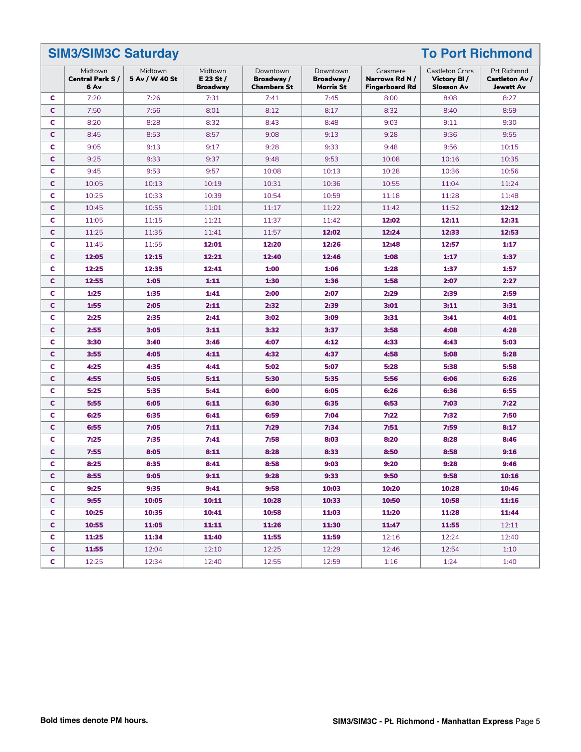#### **SIM3/SIM3C Saturday To Port Richmond** Midtown **Central Park S / 6 Av** Midtown **5 Av / W 40 St** Midtown **E 23 St / Broadway** Downtown **Broadway / Chambers St** Downtown **Broadway / Morris St** Grasmere **Narrows Rd N / Fingerboard Rd** Castleton Crnrs **Victory Bl / Slosson Av** Prt Richmnd **Castleton Av / Jewett Av C** | 7:20 | 7:26 | 7:31 | 7:41 | 7:45 | 8:00 | 8:08 | 8:27 **C** | 7:50 | 7:56 | 8:01 | 8:12 | 8:17 | 8:32 | 8:40 | 8:59 **C** 8:20 | 8:28 | 8:32 | 8:43 | 8:48 | 9:03 | 9:11 | 9:30 **C** | 8:45 | 8:53 | 8:57 | 9:08 | 9:13 | 9:28 | 9:36 | 9:55 **C** | 9:05 | 9:13 | 9:17 | 9:28 | 9:33 | 9:48 | 9:56 | 10:15 **C** | 9:25 | 9:33 | 9:37 | 9:48 | 9:53 | 10:08 | 10:16 | 10:35 **C** | 9:45 | 9:53 | 9:57 | 10:08 | 10:13 | 10:28 | 10:36 | 10:56 **C** | 10:05 | 10:13 | 10:19 | 10:31 | 10:36 | 10:55 | 11:04 | 11:24 **C** | 10:25 | 10:33 | 10:39 | 10:54 | 10:59 | 11:18 | 11:28 | 11:48 **C** | 10:45 | 10:55 | 11:01 | 11:17 | 11:22 | 11:42 | 11:52 | **12:12 C** 11:05 11:15 11:21 11:37 11:42 **12:02 12:11 12:31 C** 11:25 11:35 11:41 11:57 **12:02 12:24 12:33 12:53 C** 11:45 11:55 **12:01 12:20 12:26 12:48 12:57 1:17 C 12:05 12:15 12:21 12:40 12:46 1:08 1:17 1:37 C 12:25 12:35 12:41 1:00 1:06 1:28 1:37 1:57 C 12:55 1:05 1:11 1:30 1:36 1:58 2:07 2:27 C 1:25 1:35 1:41 2:00 2:07 2:29 2:39 2:59 C 1:55 2:05 2:11 2:32 2:39 3:01 3:11 3:31 C 2:25 2:35 2:41 3:02 3:09 3:31 3:41 4:01 C 2:55 3:05 3:11 3:32 3:37 3:58 4:08 4:28 C 3:30 3:40 3:46 4:07 4:12 4:33 4:43 5:03 C 3:55 4:05 4:11 4:32 4:37 4:58 5:08 5:28 C 4:25 4:35 4:41 5:02 5:07 5:28 5:38 5:58 C 4:55 5:05 5:11 5:30 5:35 5:56 6:06 6:26 C 5:25 5:35 5:41 6:00 6:05 6:26 6:36 6:55 C 5:55 6:05 6:11 6:30 6:35 6:53 7:03 7:22 C 6:25 6:35 6:41 6:59 7:04 7:22 7:32 7:50 C 6:55 7:05 7:11 7:29 7:34 7:51 7:59 8:17 C 7:25 7:35 7:41 7:58 8:03 8:20 8:28 8:46 C 7:55 8:05 8:11 8:28 8:33 8:50 8:58 9:16 C 8:25 8:35 8:41 8:58 9:03 9:20 9:28 9:46 C 8:55 9:05 9:11 9:28 9:33 9:50 9:58 10:16 C 9:25 9:35 9:41 9:58 10:03 10:20 10:28 10:46 C 9:55 10:05 10:11 10:28 10:33 10:50 10:58 11:16 C 10:25 10:35 10:41 10:58 11:03 11:20 11:28 11:44 C 10:55 11:05 11:11 11:26 11:30 11:47 11:55** 12:11 **C 11:25 11:34 11:40 11:55 11:59** 12:16 12:24 12:40 **C 11:55** | 12:04 | 12:10 | 12:25 | 12:29 | 12:46 | 12:54 | 1:10

**C** | 12:25 | 12:34 | 12:40 | 12:55 | 12:59 | 1:16 | 1:24 | 1:40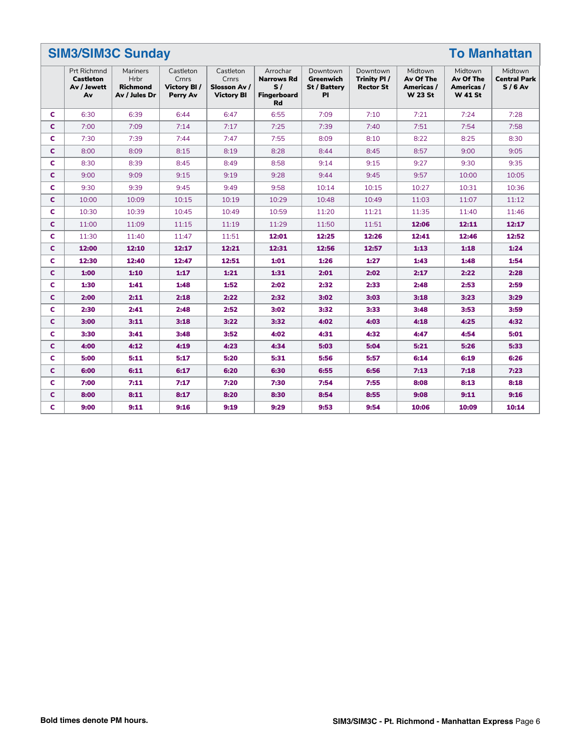|   | <b>SIM3/SIM3C Sunday</b><br><b>To Manhattan</b>             |                                                             |                                               |                                                         |                                                                        |                                                    |                                             |                                                      |                                                      |                                            |  |
|---|-------------------------------------------------------------|-------------------------------------------------------------|-----------------------------------------------|---------------------------------------------------------|------------------------------------------------------------------------|----------------------------------------------------|---------------------------------------------|------------------------------------------------------|------------------------------------------------------|--------------------------------------------|--|
|   | <b>Prt Richmnd</b><br><b>Castleton</b><br>Av / Jewett<br>Av | Mariners<br><b>Hrbr</b><br><b>Richmond</b><br>Av / Jules Dr | Castleton<br>Crnrs<br>Victory BI/<br>Perry Av | Castleton<br>Crnrs<br>Slosson Av /<br><b>Victory BI</b> | Arrochar<br><b>Narrows Rd</b><br>S/<br><b>Fingerboard</b><br><b>Rd</b> | Downtown<br>Greenwich<br><b>St / Battery</b><br>PI | Downtown<br>Trinity PI/<br><b>Rector St</b> | Midtown<br>Av Of The<br>Americas /<br><b>W 23 St</b> | Midtown<br>Av Of The<br>Americas /<br><b>W</b> 41 St | Midtown<br><b>Central Park</b><br>$S/6$ Av |  |
| c | 6:30                                                        | 6:39                                                        | 6:44                                          | 6:47                                                    | 6:55                                                                   | 7:09                                               | 7:10                                        | 7:21                                                 | 7:24                                                 | 7:28                                       |  |
| C | 7:00                                                        | 7:09                                                        | 7:14                                          | 7:17                                                    | 7:25                                                                   | 7:39                                               | 7:40                                        | 7:51                                                 | 7:54                                                 | 7:58                                       |  |
| c | 7:30                                                        | 7:39                                                        | 7:44                                          | 7:47                                                    | 7:55                                                                   | 8:09                                               | 8:10                                        | 8:22                                                 | 8:25                                                 | 8:30                                       |  |
| C | 8:00                                                        | 8:09                                                        | 8:15                                          | 8:19                                                    | 8:28                                                                   | 8:44                                               | 8:45                                        | 8:57                                                 | 9:00                                                 | 9:05                                       |  |
| C | 8:30                                                        | 8:39                                                        | 8:45                                          | 8:49                                                    | 8:58                                                                   | 9:14                                               | 9:15                                        | 9:27                                                 | 9:30                                                 | 9:35                                       |  |
| C | 9:00                                                        | 9:09                                                        | 9:15                                          | 9:19                                                    | 9:28                                                                   | 9:44                                               | 9:45                                        | 9:57                                                 | 10:00                                                | 10:05                                      |  |
| c | 9:30                                                        | 9:39                                                        | 9:45                                          | 9:49                                                    | 9:58                                                                   | 10:14                                              | 10:15                                       | 10:27                                                | 10:31                                                | 10:36                                      |  |
| C | 10:00                                                       | 10:09                                                       | 10:15                                         | 10:19                                                   | 10:29                                                                  | 10:48                                              | 10:49                                       | 11:03                                                | 11:07                                                | 11:12                                      |  |
| C | 10:30                                                       | 10:39                                                       | 10:45                                         | 10:49                                                   | 10:59                                                                  | 11:20                                              | 11:21                                       | 11:35                                                | 11:40                                                | 11:46                                      |  |
| C | 11:00                                                       | 11:09                                                       | 11:15                                         | 11:19                                                   | 11:29                                                                  | 11:50                                              | 11:51                                       | 12:06                                                | 12:11                                                | 12:17                                      |  |
| C | 11:30                                                       | 11:40                                                       | 11:47                                         | 11:51                                                   | 12:01                                                                  | 12:25                                              | 12:26                                       | 12:41                                                | 12:46                                                | 12:52                                      |  |
| C | 12:00                                                       | 12:10                                                       | 12:17                                         | 12:21                                                   | 12:31                                                                  | 12:56                                              | 12:57                                       | 1:13                                                 | 1:18                                                 | 1:24                                       |  |
| c | 12:30                                                       | 12:40                                                       | 12:47                                         | 12:51                                                   | 1:01                                                                   | 1:26                                               | 1:27                                        | 1:43                                                 | 1:48                                                 | 1:54                                       |  |
| c | 1:00                                                        | 1:10                                                        | 1:17                                          | 1:21                                                    | 1:31                                                                   | 2:01                                               | 2:02                                        | 2:17                                                 | 2:22                                                 | 2:28                                       |  |
| c | 1:30                                                        | 1:41                                                        | 1:48                                          | 1:52                                                    | 2:02                                                                   | 2:32                                               | 2:33                                        | 2:48                                                 | 2:53                                                 | 2:59                                       |  |
| C | 2:00                                                        | 2:11                                                        | 2:18                                          | 2:22                                                    | 2:32                                                                   | 3:02                                               | 3:03                                        | 3:18                                                 | 3:23                                                 | 3:29                                       |  |
| c | 2:30                                                        | 2:41                                                        | 2:48                                          | 2:52                                                    | 3:02                                                                   | 3:32                                               | 3:33                                        | 3:48                                                 | 3:53                                                 | 3:59                                       |  |
| C | 3:00                                                        | 3:11                                                        | 3:18                                          | 3:22                                                    | 3:32                                                                   | 4:02                                               | 4:03                                        | 4:18                                                 | 4:25                                                 | 4:32                                       |  |
| c | 3:30                                                        | 3:41                                                        | 3:48                                          | 3:52                                                    | 4:02                                                                   | 4:31                                               | 4:32                                        | 4:47                                                 | 4:54                                                 | 5:01                                       |  |
| C | 4:00                                                        | 4:12                                                        | 4:19                                          | 4:23                                                    | 4:34                                                                   | 5:03                                               | 5:04                                        | 5:21                                                 | 5:26                                                 | 5:33                                       |  |
| c | 5:00                                                        | 5:11                                                        | 5:17                                          | 5:20                                                    | 5:31                                                                   | 5:56                                               | 5:57                                        | 6:14                                                 | 6:19                                                 | 6:26                                       |  |
| C | 6:00                                                        | 6:11                                                        | 6:17                                          | 6:20                                                    | 6:30                                                                   | 6:55                                               | 6:56                                        | 7:13                                                 | 7:18                                                 | 7:23                                       |  |
| c | 7:00                                                        | 7:11                                                        | 7:17                                          | 7:20                                                    | 7:30                                                                   | 7:54                                               | 7:55                                        | 8:08                                                 | 8:13                                                 | 8:18                                       |  |
| C | 8:00                                                        | 8:11                                                        | 8:17                                          | 8:20                                                    | 8:30                                                                   | 8:54                                               | 8:55                                        | 9:08                                                 | 9:11                                                 | 9:16                                       |  |
| C | 9:00                                                        | 9:11                                                        | 9:16                                          | 9:19                                                    | 9:29                                                                   | 9:53                                               | 9:54                                        | 10:06                                                | 10:09                                                | 10:14                                      |  |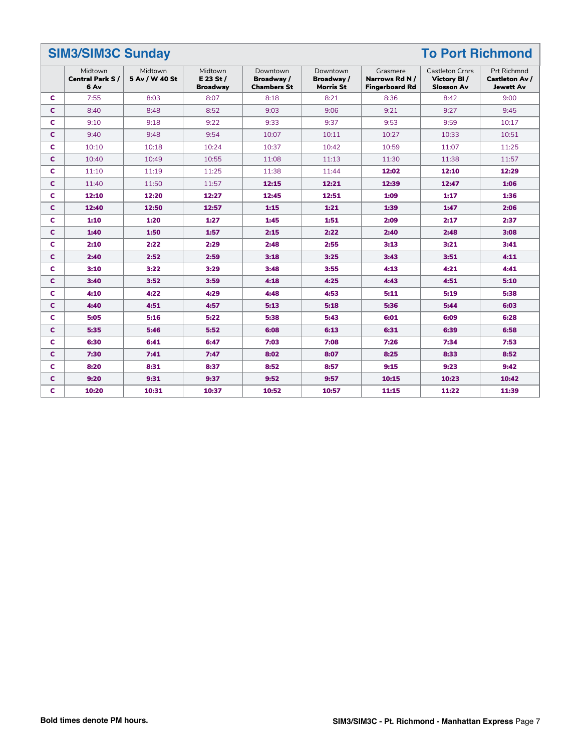|   | <b>SIM3/SIM3C Sunday</b><br><b>To Port Richmond</b> |                           |                                         |                                              |                                     |                                                     |                                                            |                                                                 |  |  |
|---|-----------------------------------------------------|---------------------------|-----------------------------------------|----------------------------------------------|-------------------------------------|-----------------------------------------------------|------------------------------------------------------------|-----------------------------------------------------------------|--|--|
|   | Midtown<br><b>Central Park S/</b><br>6 Av           | Midtown<br>5 Av / W 40 St | Midtown<br>E 23 St /<br><b>Broadway</b> | Downtown<br>Broadway /<br><b>Chambers St</b> | Downtown<br>Broadway /<br>Morris St | Grasmere<br>Narrows Rd N /<br><b>Fingerboard Rd</b> | <b>Castleton Crnrs</b><br>Victory BI/<br><b>Slosson Av</b> | <b>Prt Richmnd</b><br><b>Castleton Av /</b><br><b>Jewett Av</b> |  |  |
| C | 7:55                                                | 8:03                      | 8:07                                    | 8:18                                         | 8:21                                | 8:36                                                | 8:42                                                       | 9:00                                                            |  |  |
| c | 8:40                                                | 8:48                      | 8:52                                    | 9:03                                         | 9:06                                | 9:21                                                | 9:27                                                       | 9:45                                                            |  |  |
| C | 9:10                                                | 9:18                      | 9:22                                    | 9:33                                         | 9:37                                | 9:53                                                | 9:59                                                       | 10:17                                                           |  |  |
| c | 9:40                                                | 9:48                      | 9:54                                    | 10:07                                        | 10:11                               | 10:27                                               | 10:33                                                      | 10:51                                                           |  |  |
| c | 10:10                                               | 10:18                     | 10:24                                   | 10:37                                        | 10:42                               | 10:59                                               | 11:07                                                      | 11:25                                                           |  |  |
| C | 10:40                                               | 10:49                     | 10:55                                   | 11:08                                        | 11:13                               | 11:30                                               | 11:38                                                      | 11:57                                                           |  |  |
| C | 11:10                                               | 11:19                     | 11:25                                   | 11:38                                        | 11:44                               | 12:02                                               | 12:10                                                      | 12:29                                                           |  |  |
| C | 11:40                                               | 11:50                     | 11:57                                   | 12:15                                        | 12:21                               | 12:39                                               | 12:47                                                      | 1:06                                                            |  |  |
| C | 12:10                                               | 12:20                     | 12:27                                   | 12:45                                        | 12:51                               | 1:09                                                | 1:17                                                       | 1:36                                                            |  |  |
| C | 12:40                                               | 12:50                     | 12:57                                   | 1:15                                         | 1:21                                | 1:39                                                | 1:47                                                       | 2:06                                                            |  |  |
| C | 1:10                                                | 1:20                      | 1:27                                    | 1:45                                         | 1:51                                | 2:09                                                | 2:17                                                       | 2:37                                                            |  |  |
| C | 1:40                                                | 1:50                      | 1:57                                    | 2:15                                         | 2:22                                | 2:40                                                | 2:48                                                       | 3:08                                                            |  |  |
| C | 2:10                                                | 2:22                      | 2:29                                    | 2:48                                         | 2:55                                | 3:13                                                | 3:21                                                       | 3:41                                                            |  |  |
| C | 2:40                                                | 2:52                      | 2:59                                    | 3:18                                         | 3:25                                | 3:43                                                | 3:51                                                       | 4:11                                                            |  |  |
| C | 3:10                                                | 3:22                      | 3:29                                    | 3:48                                         | 3:55                                | 4:13                                                | 4:21                                                       | 4:41                                                            |  |  |
| C | 3:40                                                | 3:52                      | 3:59                                    | 4:18                                         | 4:25                                | 4:43                                                | 4:51                                                       | 5:10                                                            |  |  |
| c | 4:10                                                | 4:22                      | 4:29                                    | 4:48                                         | 4:53                                | 5:11                                                | 5:19                                                       | 5:38                                                            |  |  |
| c | 4:40                                                | 4:51                      | 4:57                                    | 5:13                                         | 5:18                                | 5:36                                                | 5:44                                                       | 6:03                                                            |  |  |
| c | 5:05                                                | 5:16                      | 5:22                                    | 5:38                                         | 5:43                                | 6:01                                                | 6:09                                                       | 6:28                                                            |  |  |
| C | 5:35                                                | 5:46                      | 5:52                                    | 6:08                                         | 6:13                                | 6:31                                                | 6:39                                                       | 6:58                                                            |  |  |
| c | 6:30                                                | 6:41                      | 6:47                                    | 7:03                                         | 7:08                                | 7:26                                                | 7:34                                                       | 7:53                                                            |  |  |
| C | 7:30                                                | 7:41                      | 7:47                                    | 8:02                                         | 8:07                                | 8:25                                                | 8:33                                                       | 8:52                                                            |  |  |
| C | 8:20                                                | 8:31                      | 8:37                                    | 8:52                                         | 8:57                                | 9:15                                                | 9:23                                                       | 9:42                                                            |  |  |
| C | 9:20                                                | 9:31                      | 9:37                                    | 9:52                                         | 9:57                                | 10:15                                               | 10:23                                                      | 10:42                                                           |  |  |
| c | 10:20                                               | 10:31                     | 10:37                                   | 10:52                                        | 10:57                               | 11:15                                               | 11:22                                                      | 11:39                                                           |  |  |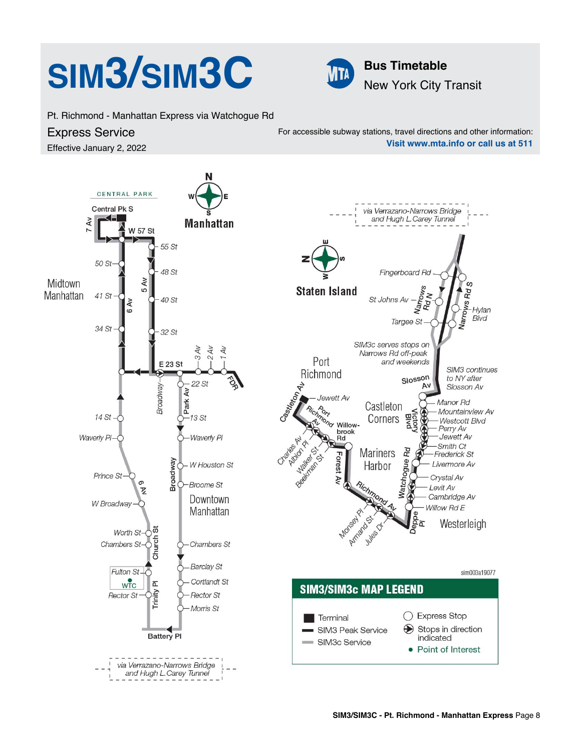# **SIM3/SIM3C Bus Timetable**



New York City Transit

Pt. Richmond - Manhattan Express via Watchogue Rd

## Express Service

Effective January 2, 2022

For accessible subway stations, travel directions and other information: **Visit www.mta.info or call us at 511**

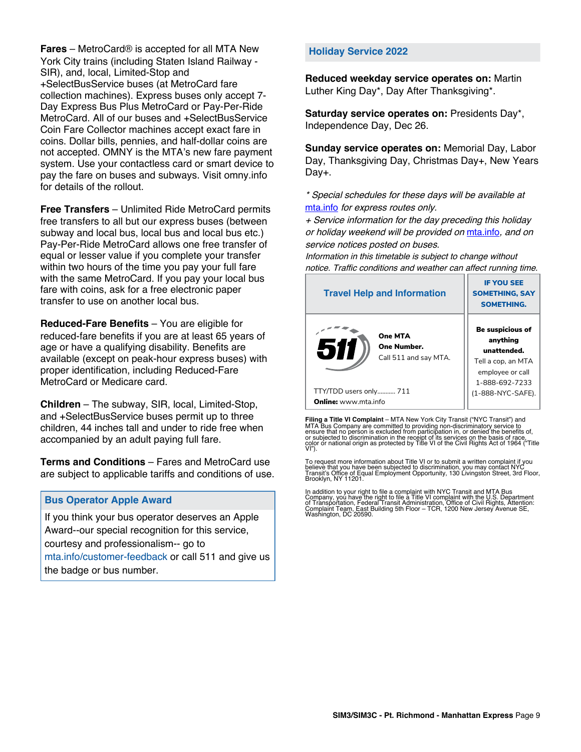**Fares** – MetroCard® is accepted for all MTA New York City trains (including Staten Island Railway - SIR), and, local, Limited-Stop and +SelectBusService buses (at MetroCard fare collection machines). Express buses only accept 7- Day Express Bus Plus MetroCard or Pay-Per-Ride MetroCard. All of our buses and +SelectBusService Coin Fare Collector machines accept exact fare in coins. Dollar bills, pennies, and half-dollar coins are not accepted. OMNY is the MTA's new fare payment system. Use your contactless card or smart device to pay the fare on buses and subways. Visit omny.info for details of the rollout.

**Free Transfers** – Unlimited Ride MetroCard permits free transfers to all but our express buses (between subway and local bus, local bus and local bus etc.) Pay-Per-Ride MetroCard allows one free transfer of equal or lesser value if you complete your transfer within two hours of the time you pay your full fare with the same MetroCard. If you pay your local bus fare with coins, ask for a free electronic paper transfer to use on another local bus.

**Reduced-Fare Benefits** – You are eligible for reduced-fare benefits if you are at least 65 years of age or have a qualifying disability. Benefits are available (except on peak-hour express buses) with proper identification, including Reduced-Fare MetroCard or Medicare card.

**Children** – The subway, SIR, local, Limited-Stop, and +SelectBusService buses permit up to three children, 44 inches tall and under to ride free when accompanied by an adult paying full fare.

**Terms and Conditions** – Fares and MetroCard use are subject to applicable tariffs and conditions of use.

### **Bus Operator Apple Award**

If you think your bus operator deserves an Apple Award--our special recognition for this service, courtesy and professionalism-- go to mta.info/customer-feedback or call 511 and give us the badge or bus number.

#### **Holiday Service 2022**

**Reduced weekday service operates on:** Martin Luther King Day\*, Day After Thanksgiving\*.

**Saturday service operates on:** Presidents Day\*, Independence Day, Dec 26.

**Sunday service operates on:** Memorial Day, Labor Day, Thanksgiving Day, Christmas Day+, New Years Day+.

\* Special schedules for these days will be available at [mta.info](https://new.mta.info/) for express routes only.

+ Service information for the day preceding this holiday or holiday weekend will be provided on [mta.info](https://new.mta.info/), and on service notices posted on buses.

Information in this timetable is subject to change without notice. Traffic conditions and weather can affect running time.

| <b>Travel Help and Information</b>                     | <b>IF YOU SEE</b><br><b>SOMETHING, SAY</b><br><b>SOMETHING.</b>                                                |  |  |
|--------------------------------------------------------|----------------------------------------------------------------------------------------------------------------|--|--|
| One MTA<br>511<br>One Number.<br>Call 511 and say MTA. | <b>Be suspicious of</b><br>anything<br>unattended.<br>Tell a cop, an MTA<br>employee or call<br>1-888-692-7233 |  |  |
| TTY/TDD users only 711                                 | (1-888-NYC-SAFE).                                                                                              |  |  |
| <b>Online:</b> www.mta.info                            |                                                                                                                |  |  |

**Filing a Title VI Complaint** – MTA New York City Transit ("NYC Transit") and<br>MTA Bus Company are committed to providing non-discriminatory service to<br>ensure that no person is excluded from participation in, or denied the

To request more information about Title VI or to submit a written complaint if you believe that you have been subjected to discrimination, you may contact NYC<br>Transit's Office of Equal Employment Opportunity, 130 Livingston Street, 3rd Floor,<br>Brooklyn, NY 11201.

In addition to your right to file a complaint with NYC Transit and MTA Bus<br>Company, you have the right to file a Title VI complaint with the U.S. Department<br>of Transportation, Federal Transit Administration, Office of Civi